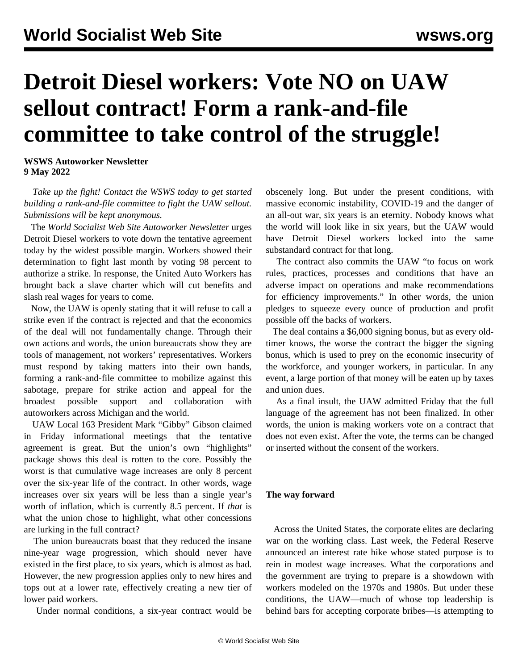## **Detroit Diesel workers: Vote NO on UAW sellout contract! Form a rank-and-file committee to take control of the struggle!**

**WSWS Autoworker Newsletter 9 May 2022**

 *Take up the fight! [Contact t](/en/special/pages/more-rank-and-file.html)he WSWS today to get started building a rank-and-file committee to fight the UAW sellout. Submissions will be kept anonymous.*

 The *World Socialist Web Site Autoworker Newsletter* urges Detroit Diesel workers to vote down the tentative agreement today by the widest possible margin. Workers showed their determination to fight last month by voting 98 percent to authorize a strike. In response, the United Auto Workers has brought back a slave charter which will cut benefits and slash real wages for years to come.

 Now, the UAW is openly stating that it will refuse to call a strike even if the contract is rejected and that the economics of the deal will not fundamentally change. Through their own actions and words, the union bureaucrats show they are tools of management, not workers' representatives. Workers must respond by taking matters into their own hands, forming a rank-and-file committee to mobilize against this sabotage, prepare for strike action and appeal for the broadest possible support and collaboration with autoworkers across Michigan and the world.

 UAW Local 163 President Mark "Gibby" Gibson claimed in Friday informational meetings that the tentative agreement is great. But the union's own "highlights" package shows this deal is rotten to the core. Possibly the worst is that cumulative wage increases are only 8 percent over the six-year life of the contract. In other words, wage increases over six years will be less than a single year's worth of inflation, which is currently 8.5 percent. If *that* is what the union chose to highlight, what other concessions are lurking in the full contract?

 The union bureaucrats boast that they reduced the insane nine-year wage progression, which should never have existed in the first place, to six years, which is almost as bad. However, the new progression applies only to new hires and tops out at a lower rate, effectively creating a new tier of lower paid workers.

Under normal conditions, a six-year contract would be

obscenely long. But under the present conditions, with massive economic instability, COVID-19 and the danger of an all-out war, six years is an eternity. Nobody knows what the world will look like in six years, but the UAW would have Detroit Diesel workers locked into the same substandard contract for that long.

 The contract also commits the UAW "to focus on work rules, practices, processes and conditions that have an adverse impact on operations and make recommendations for efficiency improvements." In other words, the union pledges to squeeze every ounce of production and profit possible off the backs of workers.

 The deal contains a \$6,000 signing bonus, but as every oldtimer knows, the worse the contract the bigger the signing bonus, which is used to prey on the economic insecurity of the workforce, and younger workers, in particular. In any event, a large portion of that money will be eaten up by taxes and union dues.

 As a final insult, the UAW admitted Friday that the full language of the agreement has not been finalized. In other words, the union is making workers vote on a contract that does not even exist. After the vote, the terms can be changed or inserted without the consent of the workers.

## **The way forward**

 Across the United States, the corporate elites are declaring war on the working class. Last week, the Federal Reserve announced an interest rate hike whose stated purpose is to rein in modest wage increases. What the corporations and the government are trying to prepare is a showdown with workers modeled on the 1970s and 1980s. But under these conditions, the UAW—much of whose top leadership is behind bars for accepting corporate bribes—is attempting to